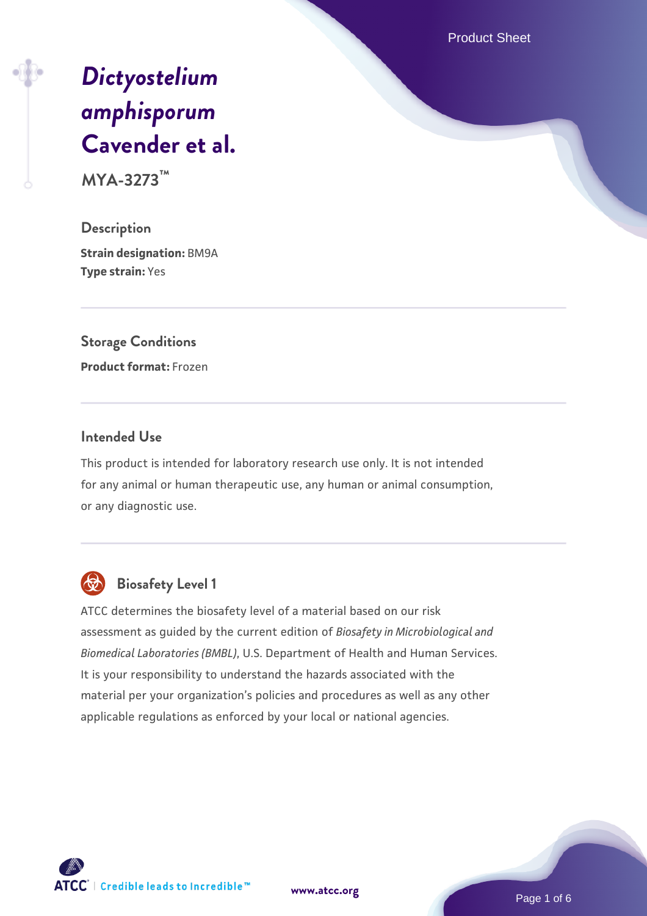Product Sheet

# *[Dictyostelium](https://www.atcc.org/products/mya-3273) [amphisporum](https://www.atcc.org/products/mya-3273)* **[Cavender et al.](https://www.atcc.org/products/mya-3273)**

**MYA-3273™**

**Description Strain designation:** BM9A **Type strain:** Yes

**Storage Conditions Product format:** Frozen

#### **Intended Use**

This product is intended for laboratory research use only. It is not intended for any animal or human therapeutic use, any human or animal consumption, or any diagnostic use.



# **Biosafety Level 1**

ATCC determines the biosafety level of a material based on our risk assessment as guided by the current edition of *Biosafety in Microbiological and Biomedical Laboratories (BMBL)*, U.S. Department of Health and Human Services. It is your responsibility to understand the hazards associated with the material per your organization's policies and procedures as well as any other applicable regulations as enforced by your local or national agencies.



**[www.atcc.org](http://www.atcc.org)**

Page 1 of 6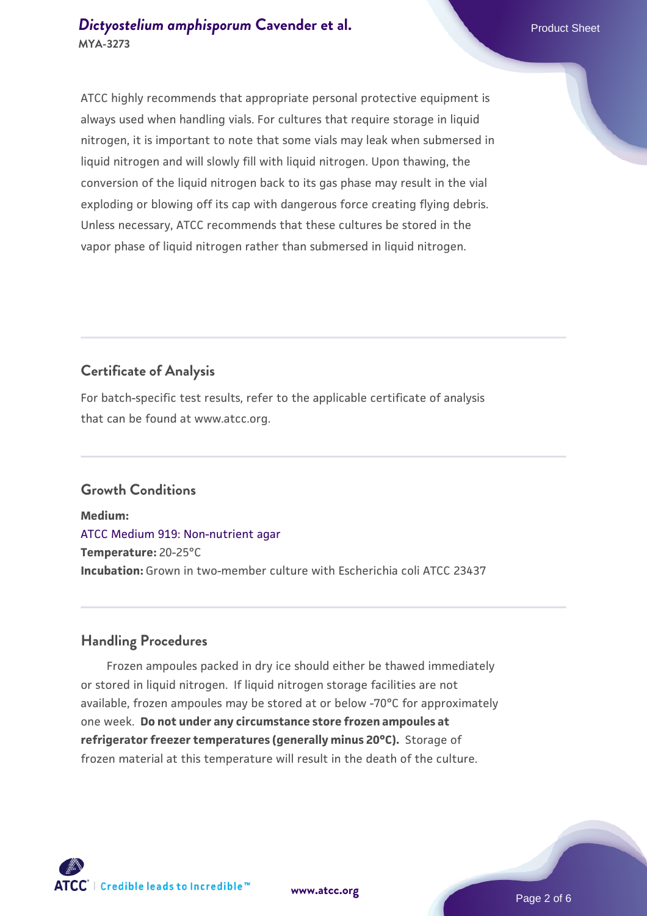ATCC highly recommends that appropriate personal protective equipment is always used when handling vials. For cultures that require storage in liquid nitrogen, it is important to note that some vials may leak when submersed in liquid nitrogen and will slowly fill with liquid nitrogen. Upon thawing, the conversion of the liquid nitrogen back to its gas phase may result in the vial exploding or blowing off its cap with dangerous force creating flying debris. Unless necessary, ATCC recommends that these cultures be stored in the vapor phase of liquid nitrogen rather than submersed in liquid nitrogen.

# **Certificate of Analysis**

For batch-specific test results, refer to the applicable certificate of analysis that can be found at www.atcc.org.

## **Growth Conditions**

**Medium:**  [ATCC Medium 919: Non-nutrient agar](https://www.atcc.org/-/media/product-assets/documents/microbial-media-formulations/9/1/9/atcc-medium-919.pdf?rev=f4e1e31d2b4249c2a4e4c31a4c703c9e) **Temperature:** 20-25°C **Incubation:** Grown in two-member culture with Escherichia coli ATCC 23437

## **Handling Procedures**

 Frozen ampoules packed in dry ice should either be thawed immediately or stored in liquid nitrogen. If liquid nitrogen storage facilities are not available, frozen ampoules may be stored at or below -70°C for approximately one week. **Do not under any circumstance store frozen ampoules at refrigerator freezer temperatures (generally minus 20°C).** Storage of frozen material at this temperature will result in the death of the culture.

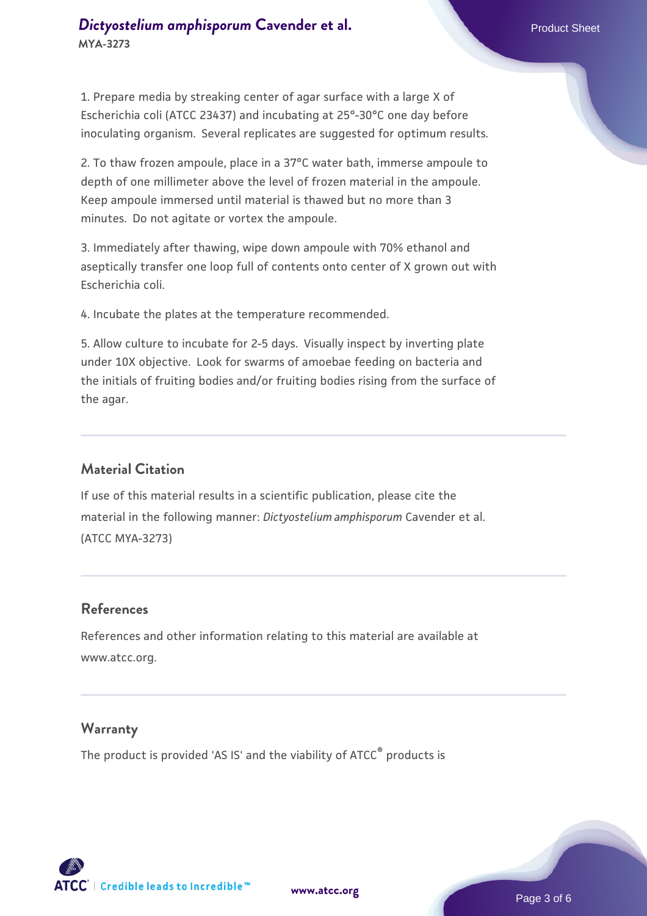# **[Dictyostelium amphisporum](https://www.atcc.org/products/mya-3273) [Cavender et al.](https://www.atcc.org/products/mya-3273)** Product Sheet **MYA-3273**

1. Prepare media by streaking center of agar surface with a large X of Escherichia coli (ATCC 23437) and incubating at 25°-30°C one day before inoculating organism. Several replicates are suggested for optimum results.

2. To thaw frozen ampoule, place in a 37°C water bath, immerse ampoule to depth of one millimeter above the level of frozen material in the ampoule. Keep ampoule immersed until material is thawed but no more than 3 minutes. Do not agitate or vortex the ampoule.

3. Immediately after thawing, wipe down ampoule with 70% ethanol and aseptically transfer one loop full of contents onto center of X grown out with Escherichia coli.

4. Incubate the plates at the temperature recommended.

5. Allow culture to incubate for 2-5 days. Visually inspect by inverting plate under 10X objective. Look for swarms of amoebae feeding on bacteria and the initials of fruiting bodies and/or fruiting bodies rising from the surface of the agar.

#### **Material Citation**

If use of this material results in a scientific publication, please cite the material in the following manner: *Dictyostelium amphisporum* Cavender et al. (ATCC MYA-3273)

## **References**

References and other information relating to this material are available at www.atcc.org.

#### **Warranty**

The product is provided 'AS IS' and the viability of ATCC<sup>®</sup> products is

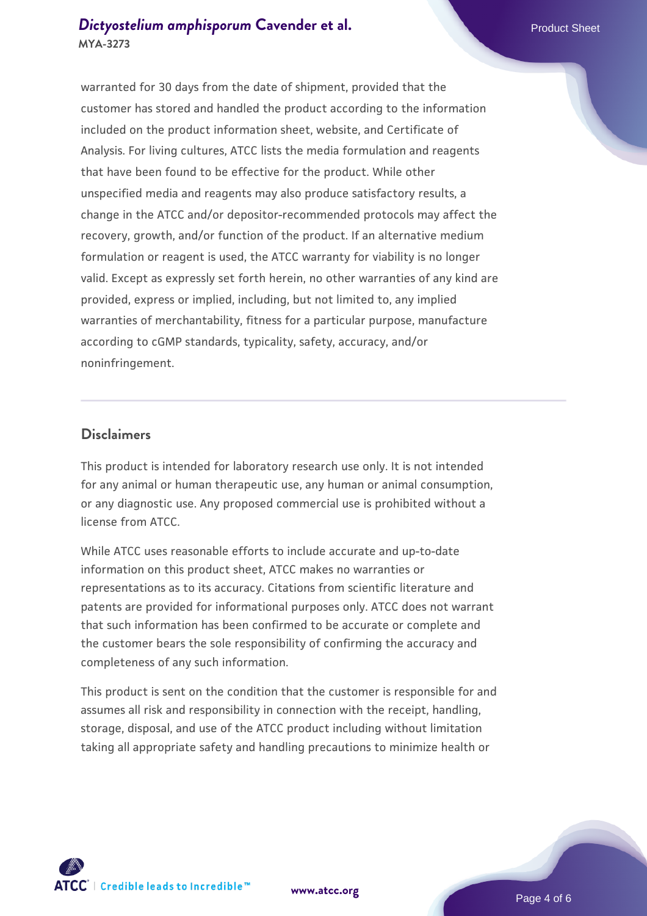# **[Dictyostelium amphisporum](https://www.atcc.org/products/mya-3273) [Cavender et al.](https://www.atcc.org/products/mya-3273)** Product Sheet **MYA-3273**

warranted for 30 days from the date of shipment, provided that the customer has stored and handled the product according to the information included on the product information sheet, website, and Certificate of Analysis. For living cultures, ATCC lists the media formulation and reagents that have been found to be effective for the product. While other unspecified media and reagents may also produce satisfactory results, a change in the ATCC and/or depositor-recommended protocols may affect the recovery, growth, and/or function of the product. If an alternative medium formulation or reagent is used, the ATCC warranty for viability is no longer valid. Except as expressly set forth herein, no other warranties of any kind are provided, express or implied, including, but not limited to, any implied warranties of merchantability, fitness for a particular purpose, manufacture according to cGMP standards, typicality, safety, accuracy, and/or noninfringement.

#### **Disclaimers**

This product is intended for laboratory research use only. It is not intended for any animal or human therapeutic use, any human or animal consumption, or any diagnostic use. Any proposed commercial use is prohibited without a license from ATCC.

While ATCC uses reasonable efforts to include accurate and up-to-date information on this product sheet, ATCC makes no warranties or representations as to its accuracy. Citations from scientific literature and patents are provided for informational purposes only. ATCC does not warrant that such information has been confirmed to be accurate or complete and the customer bears the sole responsibility of confirming the accuracy and completeness of any such information.

This product is sent on the condition that the customer is responsible for and assumes all risk and responsibility in connection with the receipt, handling, storage, disposal, and use of the ATCC product including without limitation taking all appropriate safety and handling precautions to minimize health or



**[www.atcc.org](http://www.atcc.org)**

Page 4 of 6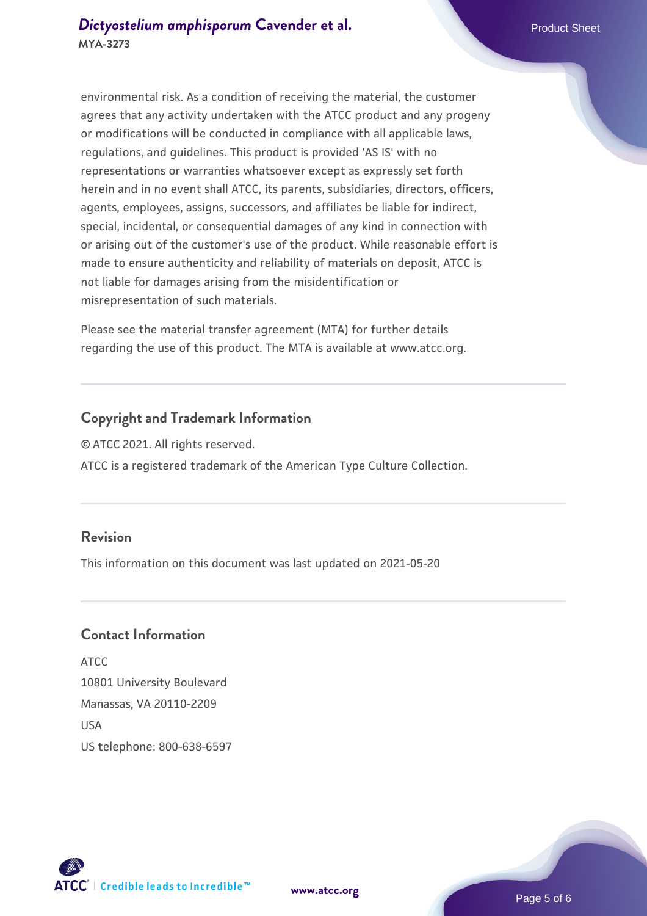environmental risk. As a condition of receiving the material, the customer agrees that any activity undertaken with the ATCC product and any progeny or modifications will be conducted in compliance with all applicable laws, regulations, and guidelines. This product is provided 'AS IS' with no representations or warranties whatsoever except as expressly set forth herein and in no event shall ATCC, its parents, subsidiaries, directors, officers, agents, employees, assigns, successors, and affiliates be liable for indirect, special, incidental, or consequential damages of any kind in connection with or arising out of the customer's use of the product. While reasonable effort is made to ensure authenticity and reliability of materials on deposit, ATCC is not liable for damages arising from the misidentification or misrepresentation of such materials.

Please see the material transfer agreement (MTA) for further details regarding the use of this product. The MTA is available at www.atcc.org.

#### **Copyright and Trademark Information**

© ATCC 2021. All rights reserved. ATCC is a registered trademark of the American Type Culture Collection.

#### **Revision**

This information on this document was last updated on 2021-05-20

#### **Contact Information**

ATCC 10801 University Boulevard Manassas, VA 20110-2209 **IISA** US telephone: 800-638-6597